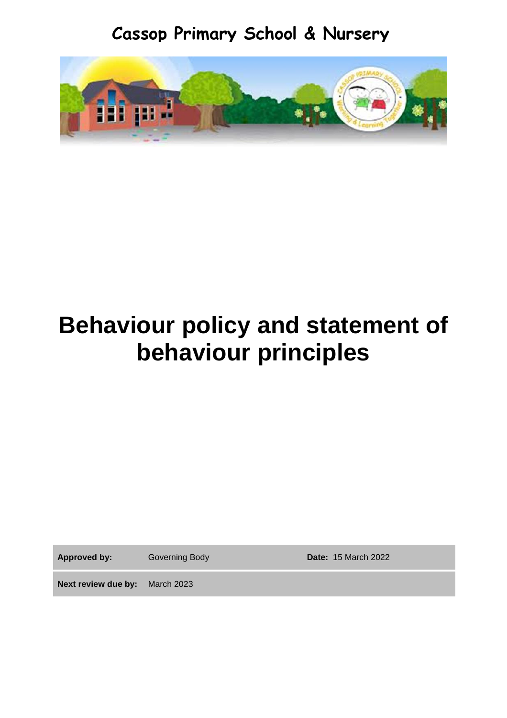**Cassop Primary School & Nursery**



# **Behaviour policy and statement of behaviour principles**

**Approved by:** Governing Body **Date:** 15 March 2022

**Next review due by:** March 2023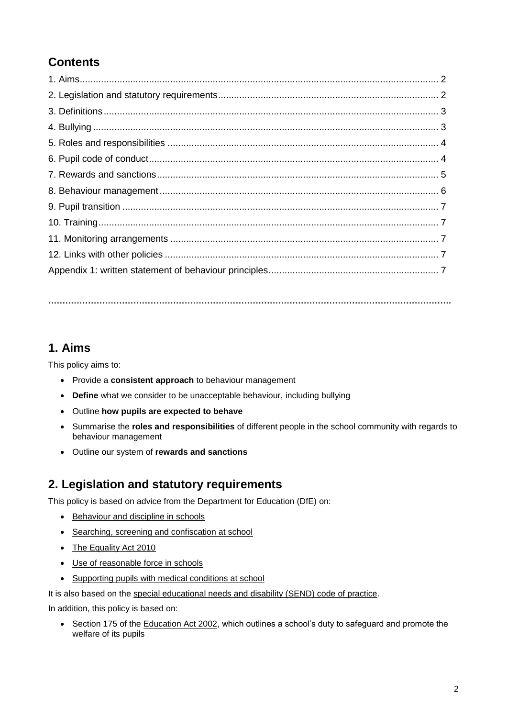# **Contents**

**…………………………………………………………………………………………………………………………….**

## **1. Aims**

This policy aims to:

- Provide a **consistent approach** to behaviour management
- **Define** what we consider to be unacceptable behaviour, including bullying
- Outline **how pupils are expected to behave**
- Summarise the **roles and responsibilities** of different people in the school community with regards to behaviour management
- Outline our system of **rewards and sanctions**

## **2. Legislation and statutory requirements**

This policy is based on advice from the Department for Education (DfE) on:

- [Behaviour and discipline in schools](https://www.gov.uk/government/publications/behaviour-and-discipline-in-schools)
- [Searching, screening and confiscation at school](https://www.gov.uk/government/publications/searching-screening-and-confiscation)
- [The Equality Act 2010](https://www.gov.uk/government/publications/equality-act-2010-advice-for-schools)
- [Use of reasonable force in schools](https://www.gov.uk/government/publications/use-of-reasonable-force-in-schools)
- [Supporting pupils with medical conditions at school](https://www.gov.uk/government/publications/supporting-pupils-at-school-with-medical-conditions--3)

It is also based on the [special educational needs and disability \(SEND\) code of practice.](https://www.gov.uk/government/publications/send-code-of-practice-0-to-25)

In addition, this policy is based on:

• Section 175 of the [Education Act 2002,](http://www.legislation.gov.uk/ukpga/2002/32/section/175) which outlines a school's duty to safeguard and promote the welfare of its pupils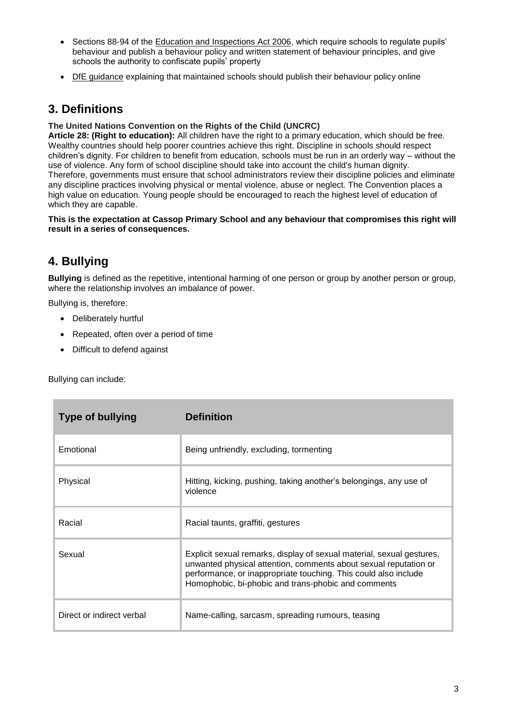- Sections 88-94 of the [Education and Inspections Act 2006,](http://www.legislation.gov.uk/ukpga/2006/40/section/88) which require schools to regulate pupils' behaviour and publish a behaviour policy and written statement of behaviour principles, and give schools the authority to confiscate pupils' property
- [DfE guidance](https://www.gov.uk/guidance/what-maintained-schools-must-publish-online#behaviour-policy) explaining that maintained schools should publish their behaviour policy online

## **3. Definitions**

#### **The United Nations Convention on the Rights of the Child (UNCRC)**

**Article 28: (Right to education):** All children have the right to a primary education, which should be free. Wealthy countries should help poorer countries achieve this right. Discipline in schools should respect children's dignity. For children to benefit from education, schools must be run in an orderly way – without the use of violence. Any form of school discipline should take into account the child's human dignity. Therefore, governments must ensure that school administrators review their discipline policies and eliminate any discipline practices involving physical or mental violence, abuse or neglect. The Convention places a high value on education. Young people should be encouraged to reach the highest level of education of which they are capable.

#### **This is the expectation at Cassop Primary School and any behaviour that compromises this right will result in a series of consequences.**

# **4. Bullying**

**Bullying** is defined as the repetitive, intentional harming of one person or group by another person or group, where the relationship involves an imbalance of power.

Bullying is, therefore:

- Deliberately hurtful
- Repeated, often over a period of time
- Difficult to defend against

Bullying can include:

| <b>Type of bullying</b>   | <b>Definition</b>                                                                                                                                                                                                                                                   |
|---------------------------|---------------------------------------------------------------------------------------------------------------------------------------------------------------------------------------------------------------------------------------------------------------------|
| Emotional                 | Being unfriendly, excluding, tormenting                                                                                                                                                                                                                             |
| Physical                  | Hitting, kicking, pushing, taking another's belongings, any use of<br>violence                                                                                                                                                                                      |
| Racial                    | Racial taunts, graffiti, gestures                                                                                                                                                                                                                                   |
| Sexual                    | Explicit sexual remarks, display of sexual material, sexual gestures,<br>unwanted physical attention, comments about sexual reputation or<br>performance, or inappropriate touching. This could also include<br>Homophobic, bi-phobic and trans-phobic and comments |
| Direct or indirect verbal | Name-calling, sarcasm, spreading rumours, teasing                                                                                                                                                                                                                   |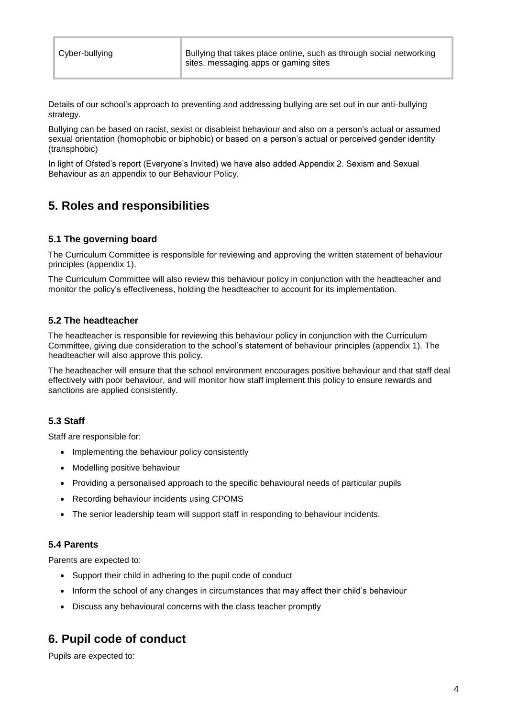Details of our school's approach to preventing and addressing bullying are set out in our anti-bullying strategy.

Bullying can be based on racist, sexist or disableist behaviour and also on a person's actual or assumed sexual orientation (homophobic or biphobic) or based on a person's actual or perceived gender identity (transphobic)

In light of Ofsted's report (Everyone's Invited) we have also added Appendix 2. Sexism and Sexual Behaviour as an appendix to our Behaviour Policy.

# **5. Roles and responsibilities**

#### **5.1 The governing board**

The Curriculum Committee is responsible for reviewing and approving the written statement of behaviour principles (appendix 1).

The Curriculum Committee will also review this behaviour policy in conjunction with the headteacher and monitor the policy's effectiveness, holding the headteacher to account for its implementation.

#### **5.2 The headteacher**

The headteacher is responsible for reviewing this behaviour policy in conjunction with the Curriculum Committee, giving due consideration to the school's statement of behaviour principles (appendix 1). The headteacher will also approve this policy.

The headteacher will ensure that the school environment encourages positive behaviour and that staff deal effectively with poor behaviour, and will monitor how staff implement this policy to ensure rewards and sanctions are applied consistently.

#### **5.3 Staff**

Staff are responsible for:

- Implementing the behaviour policy consistently
- Modelling positive behaviour
- Providing a personalised approach to the specific behavioural needs of particular pupils
- Recording behaviour incidents using CPOMS
- The senior leadership team will support staff in responding to behaviour incidents.

#### **5.4 Parents**

Parents are expected to:

- Support their child in adhering to the pupil code of conduct
- Inform the school of any changes in circumstances that may affect their child's behaviour
- Discuss any behavioural concerns with the class teacher promptly

## **6. Pupil code of conduct**

Pupils are expected to: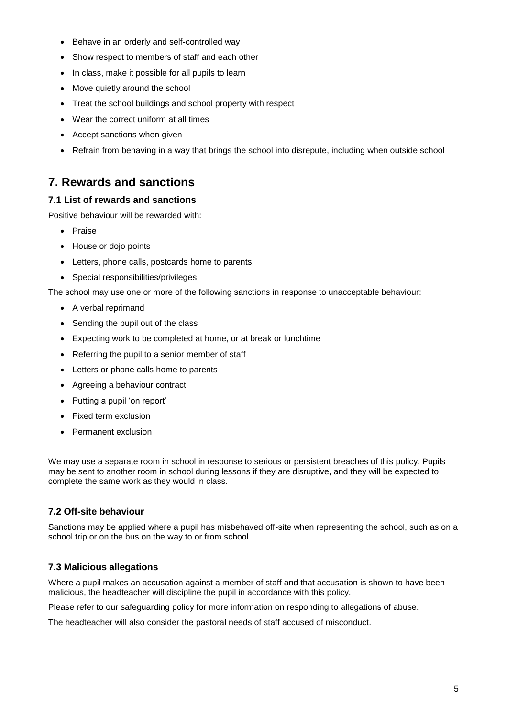- Behave in an orderly and self-controlled way
- Show respect to members of staff and each other
- In class, make it possible for all pupils to learn
- Move quietly around the school
- Treat the school buildings and school property with respect
- Wear the correct uniform at all times
- Accept sanctions when given
- Refrain from behaving in a way that brings the school into disrepute, including when outside school

## **7. Rewards and sanctions**

#### **7.1 List of rewards and sanctions**

Positive behaviour will be rewarded with:

- Praise
- House or dojo points
- Letters, phone calls, postcards home to parents
- Special responsibilities/privileges

The school may use one or more of the following sanctions in response to unacceptable behaviour:

- A verbal reprimand
- Sending the pupil out of the class
- Expecting work to be completed at home, or at break or lunchtime
- Referring the pupil to a senior member of staff
- Letters or phone calls home to parents
- Agreeing a behaviour contract
- Putting a pupil 'on report'
- Fixed term exclusion
- Permanent exclusion

We may use a separate room in school in response to serious or persistent breaches of this policy. Pupils may be sent to another room in school during lessons if they are disruptive, and they will be expected to complete the same work as they would in class.

#### **7.2 Off-site behaviour**

Sanctions may be applied where a pupil has misbehaved off-site when representing the school, such as on a school trip or on the bus on the way to or from school.

#### **7.3 Malicious allegations**

Where a pupil makes an accusation against a member of staff and that accusation is shown to have been malicious, the headteacher will discipline the pupil in accordance with this policy.

Please refer to our safeguarding policy for more information on responding to allegations of abuse.

The headteacher will also consider the pastoral needs of staff accused of misconduct.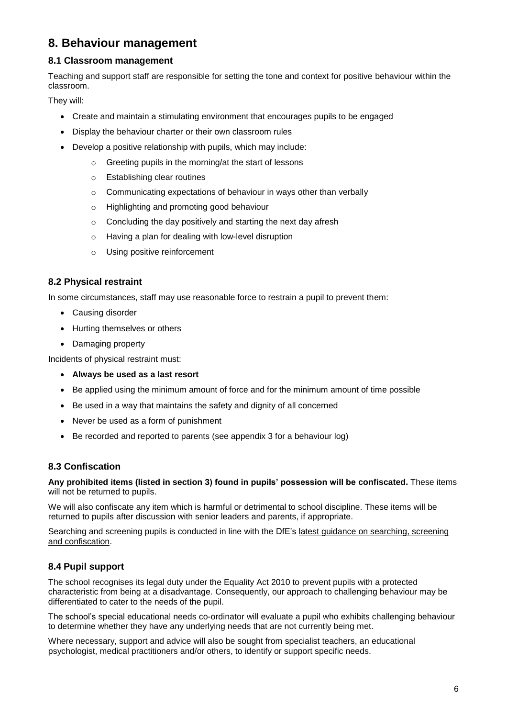## **8. Behaviour management**

#### **8.1 Classroom management**

Teaching and support staff are responsible for setting the tone and context for positive behaviour within the classroom.

They will:

- Create and maintain a stimulating environment that encourages pupils to be engaged
- Display the behaviour charter or their own classroom rules
- Develop a positive relationship with pupils, which may include:
	- o Greeting pupils in the morning/at the start of lessons
	- o Establishing clear routines
	- o Communicating expectations of behaviour in ways other than verbally
	- o Highlighting and promoting good behaviour
	- $\circ$  Concluding the day positively and starting the next day afresh
	- o Having a plan for dealing with low-level disruption
	- o Using positive reinforcement

#### **8.2 Physical restraint**

In some circumstances, staff may use reasonable force to restrain a pupil to prevent them:

- Causing disorder
- Hurting themselves or others
- Damaging property

Incidents of physical restraint must:

- **Always be used as a last resort**
- Be applied using the minimum amount of force and for the minimum amount of time possible
- Be used in a way that maintains the safety and dignity of all concerned
- Never be used as a form of punishment
- Be recorded and reported to parents (see appendix 3 for a behaviour log)

#### **8.3 Confiscation**

**Any prohibited items (listed in section 3) found in pupils' possession will be confiscated.** These items will not be returned to pupils.

We will also confiscate any item which is harmful or detrimental to school discipline. These items will be returned to pupils after discussion with senior leaders and parents, if appropriate.

Searching and screening pupils is conducted in line with the DfE's [latest guidance on searching, screening](https://www.gov.uk/government/publications/searching-screening-and-confiscation)  [and confiscation.](https://www.gov.uk/government/publications/searching-screening-and-confiscation)

#### **8.4 Pupil support**

The school recognises its legal duty under the Equality Act 2010 to prevent pupils with a protected characteristic from being at a disadvantage. Consequently, our approach to challenging behaviour may be differentiated to cater to the needs of the pupil.

The school's special educational needs co-ordinator will evaluate a pupil who exhibits challenging behaviour to determine whether they have any underlying needs that are not currently being met.

Where necessary, support and advice will also be sought from specialist teachers, an educational psychologist, medical practitioners and/or others, to identify or support specific needs.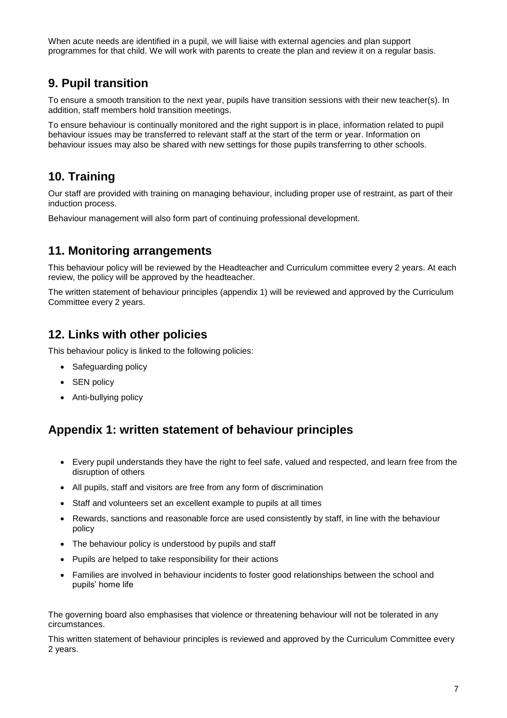When acute needs are identified in a pupil, we will liaise with external agencies and plan support programmes for that child. We will work with parents to create the plan and review it on a regular basis.

## **9. Pupil transition**

To ensure a smooth transition to the next year, pupils have transition sessions with their new teacher(s). In addition, staff members hold transition meetings.

To ensure behaviour is continually monitored and the right support is in place, information related to pupil behaviour issues may be transferred to relevant staff at the start of the term or year. Information on behaviour issues may also be shared with new settings for those pupils transferring to other schools.

## **10. Training**

Our staff are provided with training on managing behaviour, including proper use of restraint, as part of their induction process.

Behaviour management will also form part of continuing professional development.

## **11. Monitoring arrangements**

This behaviour policy will be reviewed by the Headteacher and Curriculum committee every 2 years. At each review, the policy will be approved by the headteacher.

The written statement of behaviour principles (appendix 1) will be reviewed and approved by the Curriculum Committee every 2 years.

## **12. Links with other policies**

This behaviour policy is linked to the following policies:

- Safeguarding policy
- SEN policy
- Anti-bullying policy

## **Appendix 1: written statement of behaviour principles**

- Every pupil understands they have the right to feel safe, valued and respected, and learn free from the disruption of others
- All pupils, staff and visitors are free from any form of discrimination
- Staff and volunteers set an excellent example to pupils at all times
- Rewards, sanctions and reasonable force are used consistently by staff, in line with the behaviour policy
- The behaviour policy is understood by pupils and staff
- Pupils are helped to take responsibility for their actions
- Families are involved in behaviour incidents to foster good relationships between the school and pupils' home life

The governing board also emphasises that violence or threatening behaviour will not be tolerated in any circumstances.

This written statement of behaviour principles is reviewed and approved by the Curriculum Committee every 2 years.